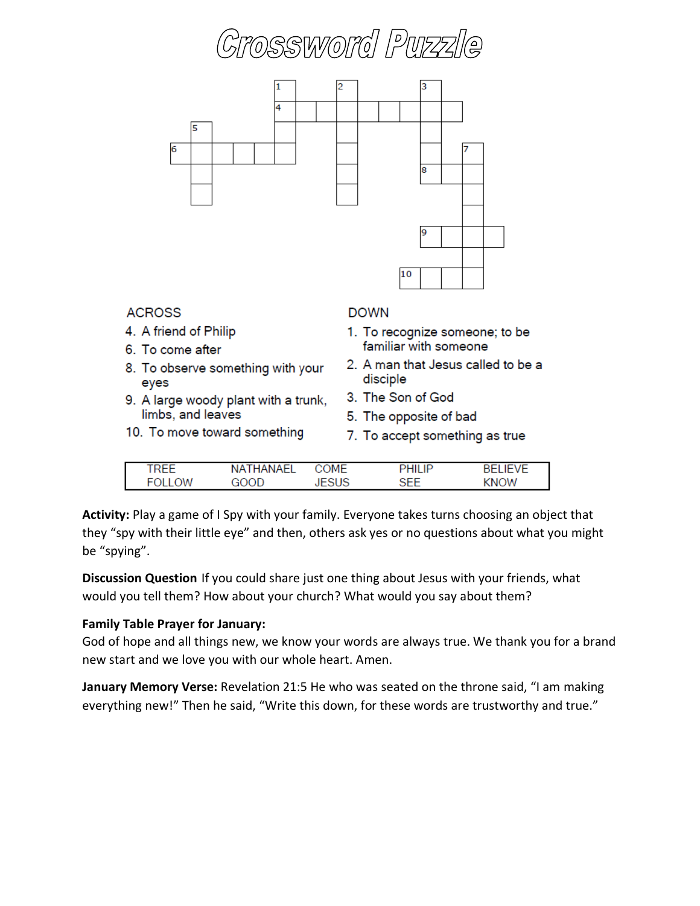



### **ACROSS**

- 4. A friend of Philip
- 6. To come after
- 8. To observe something with your eyes
- 9. A large woody plant with a trunk, limbs, and leaves
- 10. To move toward something
- **DOWN**
- 1. To recognize someone; to be familiar with someone
- 2. A man that Jesus called to be a disciple
- 3. The Son of God
- 5. The opposite of bad
- 7. To accept something as true

| <b>SHAP</b><br>мa | OME | ----- | $\sqrt{2}$ |
|-------------------|-----|-------|------------|
|                   |     |       | ∩W<br>N    |

**Activity:** Play a game of I Spy with your family. Everyone takes turns choosing an object that they "spy with their little eye" and then, others ask yes or no questions about what you might be "spying".

**Discussion Question** If you could share just one thing about Jesus with your friends, what would you tell them? How about your church? What would you say about them?

### **Family Table Prayer for January:**

God of hope and all things new, we know your words are always true. We thank you for a brand new start and we love you with our whole heart. Amen.

**January Memory Verse:** Revelation 21:5 He who was seated on the throne said, "I am making everything new!" Then he said, "Write this down, for these words are trustworthy and true."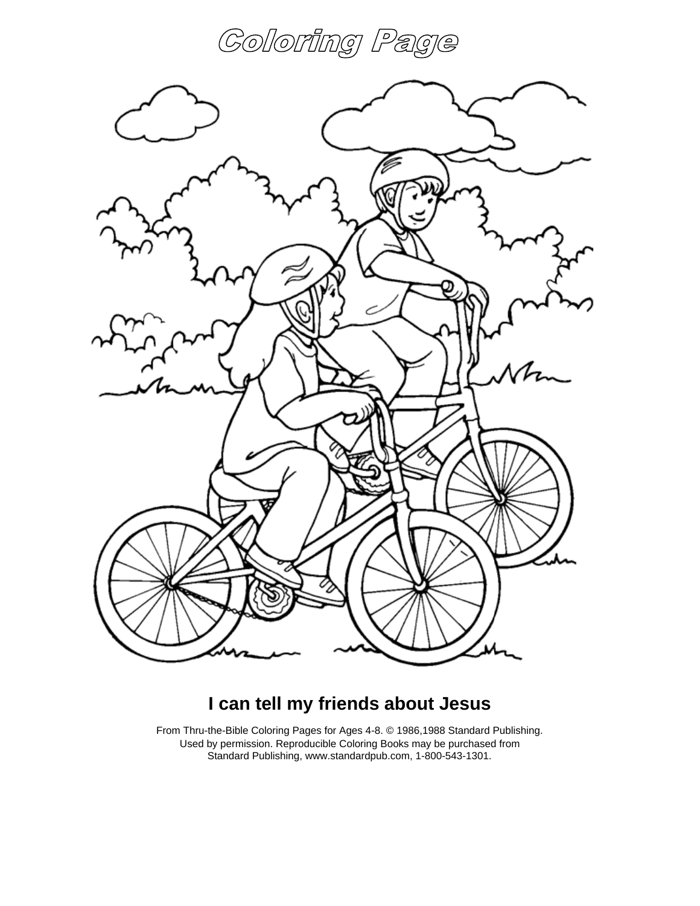# Coloring Page



### **I can tell my friends about Jesus**

From Thru-the-Bible Coloring Pages for Ages 4-8. © 1986,1988 Standard Publishing. Used by permission. Reproducible Coloring Books may be purchased from Standard Publishing, www.standardpub.com, 1-800-543-1301.